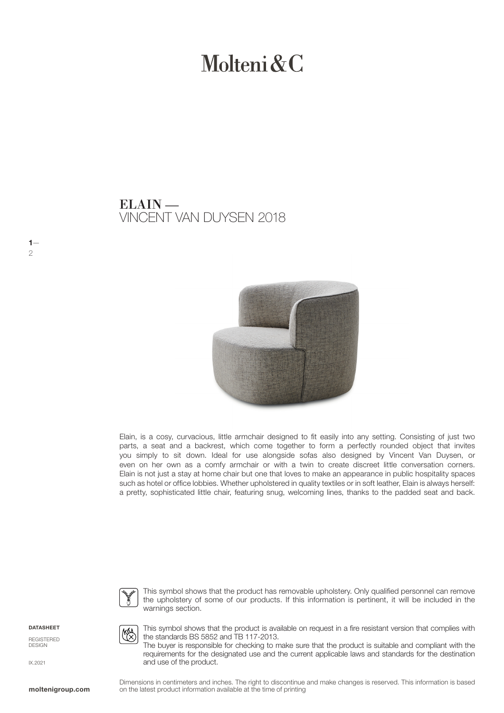# Molteni & C

## VINCENT VAN DUYSEN 2018 ELAIN —



Elain, is a cosy, curvacious, little armchair designed to fit easily into any setting. Consisting of just two parts, a seat and a backrest, which come together to form a perfectly rounded object that invites you simply to sit down. Ideal for use alongside sofas also designed by Vincent Van Duysen, or even on her own as a comfy armchair or with a twin to create discreet little conversation corners. Elain is not just a stay at home chair but one that loves to make an appearance in public hospitality spaces such as hotel or office lobbies. Whether upholstered in quality textiles or in soft leather, Elain is always herself: a pretty, sophisticated little chair, featuring snug, welcoming lines, thanks to the padded seat and back.



This symbol shows that the product has removable upholstery. Only qualified personnel can remove the upholstery of some of our products. If this information is pertinent, it will be included in the warnings section.

DATASHEET

 $1-$ 

2

REGISTERED DESIGN

moltenigroup.com

IX.2021

the standards BS 5852 and TB 117-2013. The buyer is responsible for checking to make sure that the product is suitable and compliant with the requirements for the designated use and the current applicable laws and standards for the destination and use of the product.

This symbol shows that the product is available on request in a fire resistant version that complies with